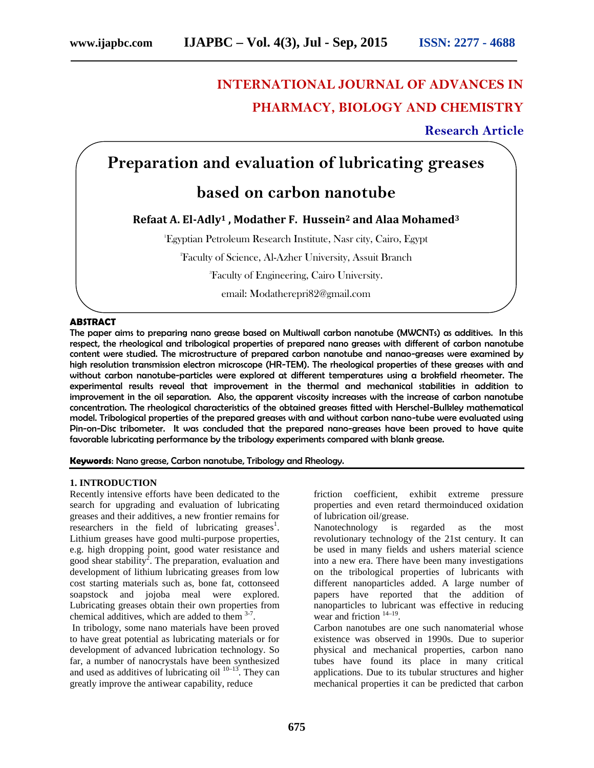# **INTERNATIONAL JOURNAL OF ADVANCES IN PHARMACY, BIOLOGY AND CHEMISTRY**

**Research Article**

## **Preparation and evaluation of lubricating greases**

### **based on carbon nanotube**

### **Refaat A. El-Adly<sup>1</sup> , Modather F. Hussein<sup>2</sup> and Alaa Mohamed<sup>3</sup>**

<sup>1</sup>Egyptian Petroleum Research Institute, Nasr city, Cairo, Egypt

<sup>2</sup>Faculty of Science, Al-Azher University, Assuit Branch

<sup>3</sup>Faculty of Engineering, Cairo University.

email: Modatherepri82@gmail.com

#### **ABSTRACT**

The paper aims to preparing nano grease based on Multiwall carbon nanotube (MWCNTs) as additives. In this respect, the rheological and tribological properties of prepared nano greases with different of carbon nanotube content were studied. The microstructure of prepared carbon nanotube and nanao-greases were examined by high resolution transmission electron microscope (HR-TEM). The rheological properties of these greases with and without carbon nanotube-particles were explored at different temperatures using a brokfield rheometer. The experimental results reveal that improvement in the thermal and mechanical stabilities in addition to improvement in the oil separation. Also, the apparent viscosity increases with the increase of carbon nanotube concentration. The rheological characteristics of the obtained greases fitted with Herschel-Bulkley mathematical model. Tribological properties of the prepared greases with and without carbon nano-tube were evaluated using Pin-on-Disc tribometer. It was concluded that the prepared nano-greases have been proved to have quite favorable lubricating performance by the tribology experiments compared with blank grease.

**Keywords**: Nano grease, Carbon nanotube, Tribology and Rheology.

#### **1. INTRODUCTION**

Recently intensive efforts have been dedicated to the search for upgrading and evaluation of lubricating greases and their additives, a new frontier remains for  $r$ esearchers in the field of lubricating greases<sup>1</sup>. Lithium greases have good multi-purpose properties, e.g. high dropping point, good water resistance and good shear stability<sup>2</sup>. The preparation, evaluation and development of lithium lubricating greases from low cost starting materials such as, bone fat, cottonseed soapstock and jojoba meal were explored. Lubricating greases obtain their own properties from chemical additives, which are added to them  $3-7$ .

In tribology, some nano materials have been proved to have great potential as lubricating materials or for development of advanced lubrication technology. So far, a number of nanocrystals have been synthesized and used as additives of lubricating oil  $10-13$ . They can greatly improve the antiwear capability, reduce

friction coefficient, exhibit extreme pressure properties and even retard thermoinduced oxidation of lubrication oil/grease.

Nanotechnology is regarded as the most revolutionary technology of the 21st century. It can be used in many fields and ushers material science into a new era. There have been many investigations on the tribological properties of lubricants with different nanoparticles added. A large number of papers have reported that the addition of nanoparticles to lubricant was effective in reducing wear and friction  $14-19$ .

Carbon nanotubes are one such nanomaterial whose existence was observed in 1990s. Due to superior physical and mechanical properties, carbon nano tubes have found its place in many critical applications. Due to its tubular structures and higher mechanical properties it can be predicted that carbon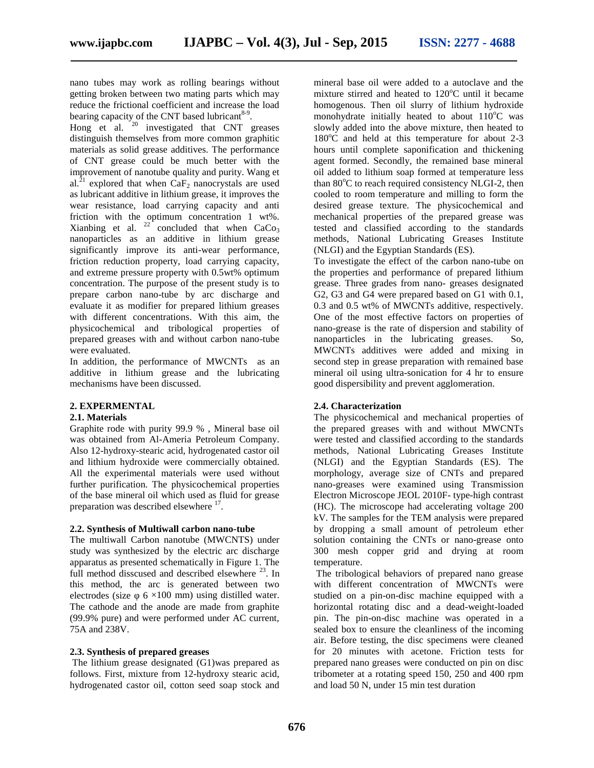nano tubes may work as rolling bearings without getting broken between two mating parts which may reduce the frictional coefficient and increase the load bearing capacity of the CNT based lubricant $8-9$ .

Hong  $et$  al.  $20$  investigated that CNT greases distinguish themselves from more common graphitic materials as solid grease additives. The performance of CNT grease could be much better with the improvement of nanotube quality and purity. Wang et al.<sup>21</sup> explored that when CaF<sub>2</sub> nanocrystals are used as lubricant additive in lithium grease, it improves the wear resistance, load carrying capacity and anti friction with the optimum concentration 1 wt%. Xianbing et al.  $22^{\circ}$  concluded that when CaCo<sub>3</sub> nanoparticles as an additive in lithium grease significantly improve its anti-wear performance, friction reduction property, load carrying capacity, and extreme pressure property with 0.5wt% optimum concentration. The purpose of the present study is to prepare carbon nano-tube by arc discharge and evaluate it as modifier for prepared lithium greases with different concentrations. With this aim, the physicochemical and tribological properties of prepared greases with and without carbon nano-tube were evaluated.

In addition, the performance of MWCNTs as an additive in lithium grease and the lubricating mechanisms have been discussed.

#### **2. EXPERMENTAL**

#### **2.1. Materials**

Graphite rode with purity 99.9 % , Mineral base oil was obtained from Al-Ameria Petroleum Company. Also 12-hydroxy-stearic acid, hydrogenated castor oil and lithium hydroxide were commercially obtained. All the experimental materials were used without further purification. The physicochemical properties of the base mineral oil which used as fluid for grease preparation was described elsewhere <sup>17</sup>.

#### **2.2. Synthesis of Multiwall carbon nano-tube**

The multiwall Carbon nanotube (MWCNTS) under study was synthesized by the electric arc discharge apparatus as presented schematically in Figure 1. The full method disscused and described elsewhere <sup>23</sup>. In this method, the arc is generated between two electrodes (size  $6 \times 100$  mm) using distilled water. The cathode and the anode are made from graphite (99.9% pure) and were performed under AC current, 75A and 238V.

#### **2.3. Synthesis of prepared greases**

The lithium grease designated (G1)was prepared as follows. First, mixture from 12-hydroxy stearic acid, hydrogenated castor oil, cotton seed soap stock and

mineral base oil were added to a autoclave and the mixture stirred and heated to  $120^{\circ}$ C until it became homogenous. Then oil slurry of lithium hydroxide monohydrate initially heated to about  $110^{\circ}$ C was slowly added into the above mixture, then heated to  $180^{\circ}$ C and held at this temperature for about 2-3 hours until complete saponification and thickening agent formed. Secondly, the remained base mineral oil added to lithium soap formed at temperature less than  $80^{\circ}$ C to reach required consistency NLGI-2, then cooled to room temperature and milling to form the desired grease texture. The physicochemical and mechanical properties of the prepared grease was tested and classified according to the standards methods, National Lubricating Greases Institute (NLGI) and the Egyptian Standards (ES).

To investigate the effect of the carbon nano-tube on the properties and performance of prepared lithium grease. Three grades from nano- greases designated G2, G3 and G4 were prepared based on G1 with 0.1, 0.3 and 0.5 wt% of MWCNTs additive, respectively. One of the most effective factors on properties of nano-grease is the rate of dispersion and stability of nanoparticles in the lubricating greases. So, MWCNTs additives were added and mixing in second step in grease preparation with remained base mineral oil using ultra-sonication for 4 hr to ensure good dispersibility and prevent agglomeration.

#### **2.4. Characterization**

The physicochemical and mechanical properties of the prepared greases with and without MWCNTs were tested and classified according to the standards methods, National Lubricating Greases Institute (NLGI) and the Egyptian Standards (ES). The morphology, average size of CNTs and prepared nano-greases were examined using Transmission Electron Microscope JEOL 2010F- type-high contrast (HC). The microscope had accelerating voltage 200 kV. The samples for the TEM analysis were prepared by dropping a small amount of petroleum ether solution containing the CNTs or nano-grease onto 300 mesh copper grid and drying at room temperature.

The tribological behaviors of prepared nano grease with different concentration of MWCNTs were studied on a pin-on-disc machine equipped with a horizontal rotating disc and a dead-weight-loaded pin. The pin-on-disc machine was operated in a sealed box to ensure the cleanliness of the incoming air. Before testing, the disc specimens were cleaned for 20 minutes with acetone. Friction tests for prepared nano greases were conducted on pin on disc tribometer at a rotating speed 150, 250 and 400 rpm and load 50 N, under 15 min test duration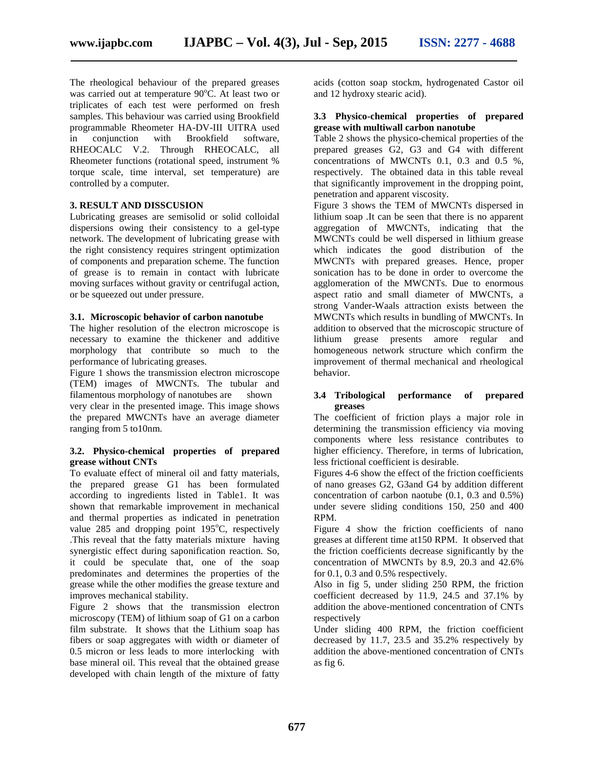The rheological behaviour of the prepared greases was carried out at temperature 90°C. At least two or triplicates of each test were performed on fresh samples. This behaviour was carried using Brookfield programmable Rheometer HA-DV-III UITRA used in conjunction with Brookfield software, RHEOCALC V.2. Through RHEOCALC, all Rheometer functions (rotational speed, instrument % torque scale, time interval, set temperature) are controlled by a computer.

#### **3. RESULT AND DISSCUSION**

Lubricating greases are semisolid or solid colloidal dispersions owing their consistency to a gel-type network. The development of lubricating grease with the right consistency requires stringent optimization of components and preparation scheme. The function of grease is to remain in contact with lubricate moving surfaces without gravity or centrifugal action, or be squeezed out under pressure.

#### **3.1. Microscopic behavior of carbon nanotube**

The higher resolution of the electron microscope is necessary to examine the thickener and additive morphology that contribute so much to the performance of lubricating greases.

Figure 1 shows the transmission electron microscope (TEM) images of MWCNTs. The tubular and filamentous morphology of nanotubes are shown very clear in the presented image. This image shows the prepared MWCNTs have an average diameter ranging from 5 to10nm.

#### **3.2. Physico-chemical properties of prepared grease without CNTs**

To evaluate effect of mineral oil and fatty materials, the prepared grease G1 has been formulated according to ingredients listed in Table1. It was shown that remarkable improvement in mechanical and thermal properties as indicated in penetration value  $285$  and dropping point  $195^{\circ}$ C, respectively .This reveal that the fatty materials mixture having synergistic effect during saponification reaction. So, it could be speculate that, one of the soap predominates and determines the properties of the grease while the other modifies the grease texture and improves mechanical stability.

Figure 2 shows that the transmission electron microscopy (TEM) of lithium soap of G1 on a carbon film substrate. It shows that the Lithium soap has fibers or soap aggregates with width or diameter of 0.5 micron or less leads to more interlocking with base mineral oil. This reveal that the obtained grease developed with chain length of the mixture of fatty

acids (cotton soap stockm, hydrogenated Castor oil and 12 hydroxy stearic acid).

#### **3.3 Physico-chemical properties of prepared grease with multiwall carbon nanotube**

Table 2 shows the physico-chemical properties of the prepared greases G2, G3 and G4 with different concentrations of MWCNTs 0.1, 0.3 and 0.5 %, respectively. The obtained data in this table reveal that significantly improvement in the dropping point, penetration and apparent viscosity.

Figure 3 shows the TEM of MWCNTs dispersed in lithium soap .It can be seen that there is no apparent aggregation of MWCNTs, indicating that the MWCNTs could be well dispersed in lithium grease which indicates the good distribution of the MWCNTs with prepared greases. Hence, proper sonication has to be done in order to overcome the agglomeration of the MWCNTs. Due to enormous aspect ratio and small diameter of MWCNTs, a strong Vander-Waals attraction exists between the MWCNTs which results in bundling of MWCNTs. In addition to observed that the microscopic structure of lithium grease presents amore regular and homogeneous network structure which confirm the improvement of thermal mechanical and rheological behavior.

#### **3.4 Tribological performance of prepared greases**

The coefficient of friction plays a major role in determining the transmission efficiency via moving components where less resistance contributes to higher efficiency. Therefore, in terms of lubrication, less frictional coefficient is desirable.

Figures 4-6 show the effect of the friction coefficients of nano greases G2, G3and G4 by addition different concentration of carbon naotube (0.1, 0.3 and 0.5%) under severe sliding conditions 150, 250 and 400 RPM.

Figure 4 show the friction coefficients of nano greases at different time at150 RPM. It observed that the friction coefficients decrease significantly by the concentration of MWCNTs by 8.9, 20.3 and 42.6% for 0.1, 0.3 and 0.5% respectively.

Also in fig 5, under sliding 250 RPM, the friction coefficient decreased by 11.9, 24.5 and 37.1% by addition the above-mentioned concentration of CNTs respectively

Under sliding 400 RPM, the friction coefficient decreased by 11.7, 23.5 and 35.2% respectively by addition the above-mentioned concentration of CNTs as fig 6.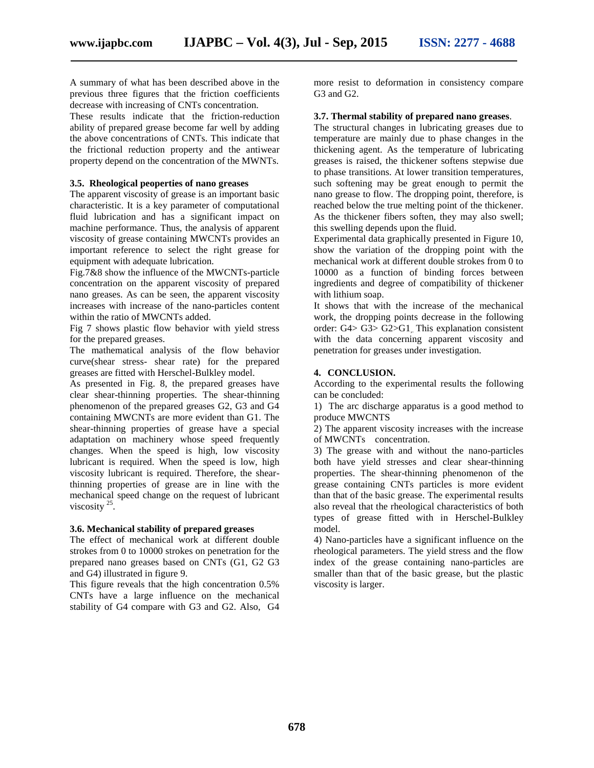A summary of what has been described above in the previous three figures that the friction coefficients decrease with increasing of CNTs concentration.

These results indicate that the friction-reduction ability of prepared grease become far well by adding the above concentrations of CNTs. This indicate that the frictional reduction property and the antiwear property depend on the concentration of the MWNTs.

#### **3.5. Rheological peoperties of nano greases**

The apparent viscosity of grease is an important basic characteristic. It is a key parameter of computational fluid lubrication and has a significant impact on machine performance. Thus, the analysis of apparent viscosity of grease containing MWCNTs provides an important reference to select the right grease for equipment with adequate lubrication.

Fig.7&8 show the influence of the MWCNTs-particle concentration on the apparent viscosity of prepared nano greases. As can be seen, the apparent viscosity increases with increase of the nano-particles content within the ratio of MWCNTs added.

Fig 7 shows plastic flow behavior with yield stress for the prepared greases.

The mathematical analysis of the flow behavior curve(shear stress- shear rate) for the prepared greases are fitted with Herschel-Bulkley model.

As presented in Fig. 8, the prepared greases have clear shear-thinning properties. The shear-thinning phenomenon of the prepared greases G2, G3 and G4 containing MWCNTs are more evident than G1. The shear-thinning properties of grease have a special adaptation on machinery whose speed frequently changes. When the speed is high, low viscosity lubricant is required. When the speed is low, high viscosity lubricant is required. Therefore, the shearthinning properties of grease are in line with the mechanical speed change on the request of lubricant viscosity  $25$ .

#### **3.6. Mechanical stability of prepared greases**

The effect of mechanical work at different double strokes from 0 to 10000 strokes on penetration for the prepared nano greases based on CNTs (G1, G2 G3 and G4) illustrated in figure 9.

This figure reveals that the high concentration 0.5% CNTs have a large influence on the mechanical stability of G4 compare with G3 and G2. Also, G4

more resist to deformation in consistency compare G3 and G2.

#### **3.7. Thermal stability of prepared nano greases**.

The structural changes in lubricating greases due to temperature are mainly due to phase changes in the thickening agent. As the temperature of lubricating greases is raised, the thickener softens stepwise due to phase transitions. At lower transition temperatures, such softening may be great enough to permit the nano grease to flow. The dropping point, therefore, is reached below the true melting point of the thickener. As the thickener fibers soften, they may also swell; this swelling depends upon the fluid.

Experimental data graphically presented in Figure 10, show the variation of the dropping point with the mechanical work at different double strokes from 0 to 10000 as a function of binding forces between ingredients and degree of compatibility of thickener with lithium soap.

It shows that with the increase of the mechanical work, the dropping points decrease in the following order: G4> G3> G2>G1. This explanation consistent with the data concerning apparent viscosity and penetration for greases under investigation.

#### **4. CONCLUSION.**

According to the experimental results the following can be concluded:

1) The arc discharge apparatus is a good method to produce MWCNTS

2) The apparent viscosity increases with the increase of MWCNTs concentration.

3) The grease with and without the nano-particles both have yield stresses and clear shear-thinning properties. The shear-thinning phenomenon of the grease containing CNTs particles is more evident than that of the basic grease. The experimental results also reveal that the rheological characteristics of both types of grease fitted with in Herschel-Bulkley model.

4) Nano-particles have a significant influence on the rheological parameters. The yield stress and the flow index of the grease containing nano-particles are smaller than that of the basic grease, but the plastic viscosity is larger.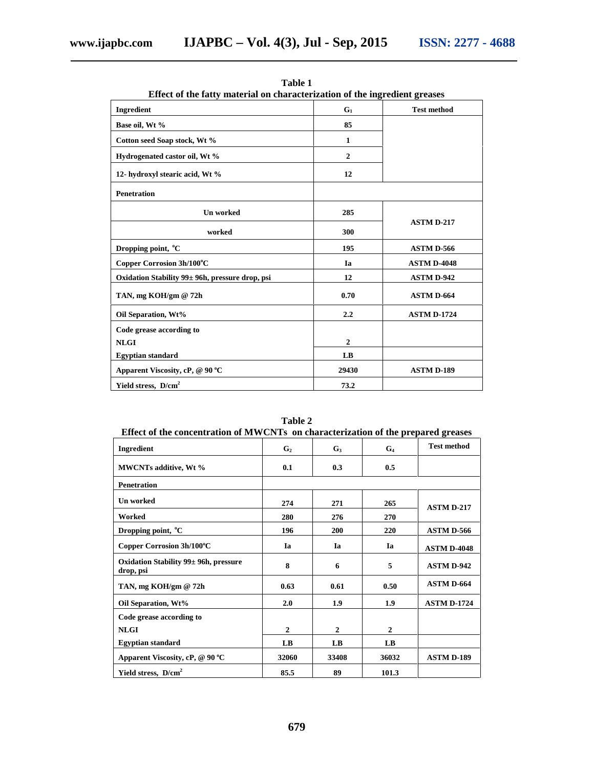| Effect of the fatty material on characterization of the ingredient greases |                |                    |  |
|----------------------------------------------------------------------------|----------------|--------------------|--|
| Ingredient                                                                 | $G_1$          | <b>Test method</b> |  |
| Base oil, Wt %                                                             | 85             |                    |  |
| Cotton seed Soap stock, Wt %                                               | $\mathbf{1}$   |                    |  |
| Hydrogenated castor oil, Wt %                                              | $\overline{2}$ |                    |  |
| 12- hydroxyl stearic acid, Wt %                                            | 12             |                    |  |
| <b>Penetration</b>                                                         |                |                    |  |
| <b>Un worked</b>                                                           | 285            | <b>ASTM D-217</b>  |  |
| worked                                                                     | 300            |                    |  |
| Dropping point, °C                                                         | 195            | <b>ASTM D-566</b>  |  |
| Copper Corrosion 3h/100°C                                                  | Ia             | <b>ASTM D-4048</b> |  |
| Oxidation Stability 99± 96h, pressure drop, psi                            | 12             | <b>ASTM D-942</b>  |  |
| TAN, mg KOH/gm @ 72h                                                       | 0.70           | ASTM D-664         |  |
| Oil Separation, Wt%                                                        | 2.2            | <b>ASTM D-1724</b> |  |
| Code grease according to                                                   |                |                    |  |
| <b>NLGI</b>                                                                | $\overline{2}$ |                    |  |
| <b>Egyptian standard</b>                                                   | LB             |                    |  |
| Apparent Viscosity, cP, @ 90 °C                                            | 29430          | <b>ASTM D-189</b>  |  |
| Yield stress, D/cm <sup>2</sup>                                            | 73.2           |                    |  |

**Table 1**

| Effect of the concentration of MWCNTs on characterization of the prepared greases |                |                |                |                    |  |  |  |
|-----------------------------------------------------------------------------------|----------------|----------------|----------------|--------------------|--|--|--|
| Ingredient                                                                        | G <sub>2</sub> | $G_3$          | $G_4$          | <b>Test method</b> |  |  |  |
| <b>MWCNTs additive, Wt %</b>                                                      | 0.1            | 0.3            | 0.5            |                    |  |  |  |
| <b>Penetration</b>                                                                |                |                |                |                    |  |  |  |
| <b>Un</b> worked                                                                  | 274            | 271            | 265            |                    |  |  |  |
| Worked                                                                            | 280            | 276            | 270            | <b>ASTM D-217</b>  |  |  |  |
| Dropping point, <sup>o</sup> C                                                    | 196            | 200            | 220            | <b>ASTM D-566</b>  |  |  |  |
| Copper Corrosion 3h/100°C                                                         | Ia             | Ia             | Ia             | <b>ASTM D-4048</b> |  |  |  |
| Oxidation Stability 99± 96h, pressure<br>drop, psi                                | 8              | 6              | 5              | <b>ASTM D-942</b>  |  |  |  |
| TAN, mg KOH/gm @ 72h                                                              | 0.63           | 0.61           | 0.50           | <b>ASTM D-664</b>  |  |  |  |
| Oil Separation, Wt%                                                               | 2.0            | 1.9            | 1.9            | <b>ASTM D-1724</b> |  |  |  |
| Code grease according to                                                          |                |                |                |                    |  |  |  |
| <b>NLGI</b>                                                                       | $\mathbf{2}$   | $\overline{2}$ | $\overline{2}$ |                    |  |  |  |
| <b>Egyptian standard</b>                                                          | LB             | LB             | LB             |                    |  |  |  |
| Apparent Viscosity, cP, @ 90 °C                                                   | 32060          | 33408          | 36032          | <b>ASTM D-189</b>  |  |  |  |
| Yield stress, D/cm <sup>2</sup>                                                   | 85.5           | 89             | 101.3          |                    |  |  |  |

**Table 2**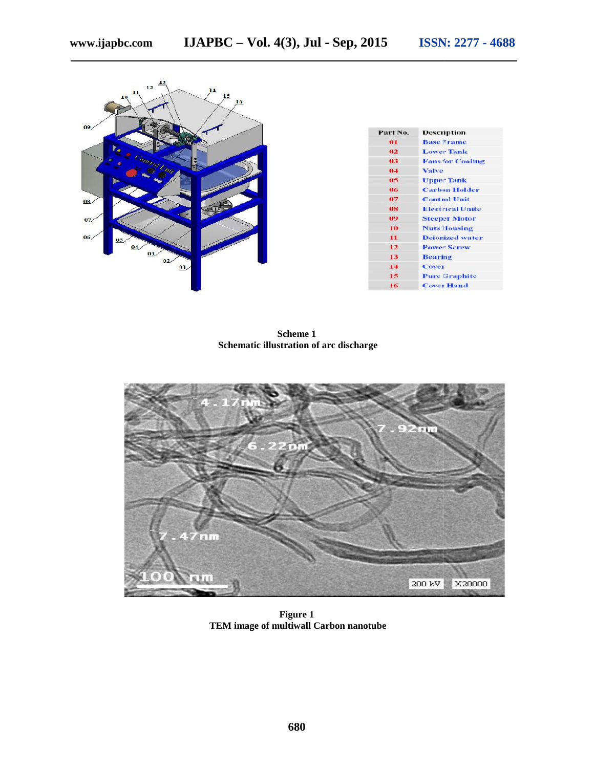| $\frac{13}{2}$<br>$12$<br>$\frac{14}{1}$<br>$\mathbf{H}$<br>15<br>10<br>16 |                |                         |
|----------------------------------------------------------------------------|----------------|-------------------------|
| 09/                                                                        | Part No.       | <b>Description</b>      |
|                                                                            | 01             | <b>Base Frame</b>       |
| <b>IOP</b>                                                                 | 02             | <b>Lower Tank</b>       |
| Cantral Und                                                                | 0 <sup>3</sup> | <b>Fans for Cooling</b> |
|                                                                            | 0.4            | Valve                   |
|                                                                            | 05             | <b>Upper Tank</b>       |
|                                                                            | 06             | <b>Carbon Holder</b>    |
| 08/                                                                        | 07             | <b>Control Unit</b>     |
|                                                                            | 08             | <b>Electrical Unite</b> |
| 07/                                                                        | 09             | <b>Steeper Motor</b>    |
|                                                                            | 10             | <b>Nuts Housing</b>     |
| 06/<br>05/                                                                 | $\mathbf{H}$   | <b>Deionized water</b>  |
| 04/                                                                        | 12             | <b>Power Screw</b>      |
| 03/<br>02                                                                  | 13             | <b>Bearing</b>          |
| 01                                                                         | 14             | Cover                   |
|                                                                            | 15             | <b>Pure Graphite</b>    |
|                                                                            | 16             | <b>Cover Hand</b>       |

**Scheme 1 Schematic illustration of arc discharge**



**Figure 1 TEM image of multiwall Carbon nanotube**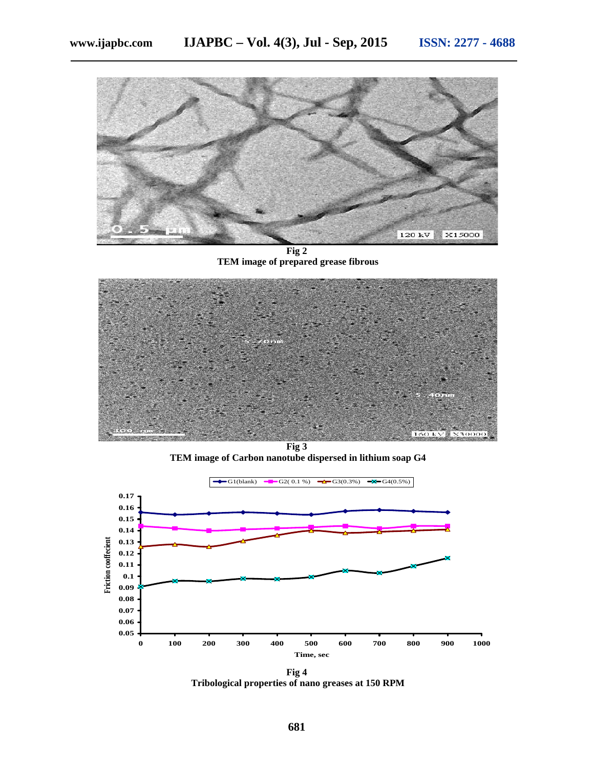

**Fig 2 TEM image of prepared grease fibrous**



**Fig 3 TEM image of Carbon nanotube dispersed in lithium soap G4**



**Fig 4 Tribological properties of nano greases at 150 RPM**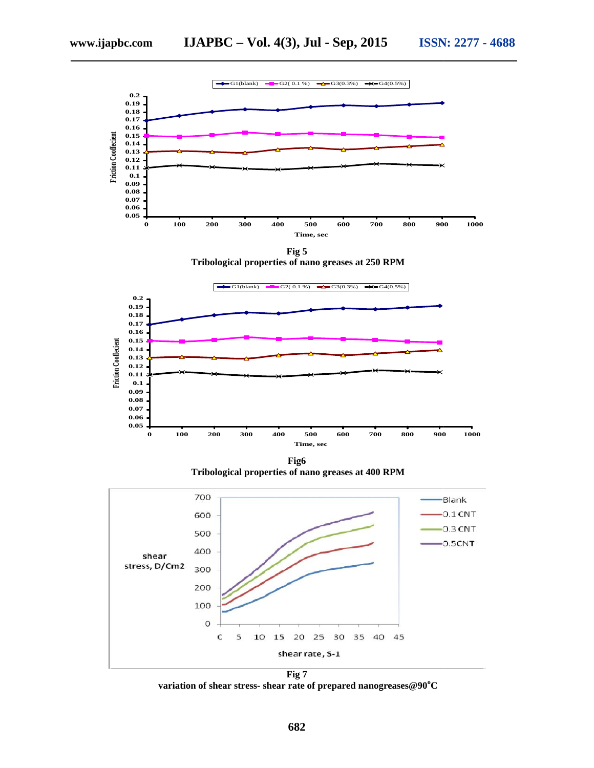





**Fig6 Tribological properties of nano greases at 400 RPM**



**Fig 7 variation of shear stress- shear rate of prepared nanogreases@90<sup>o</sup>C**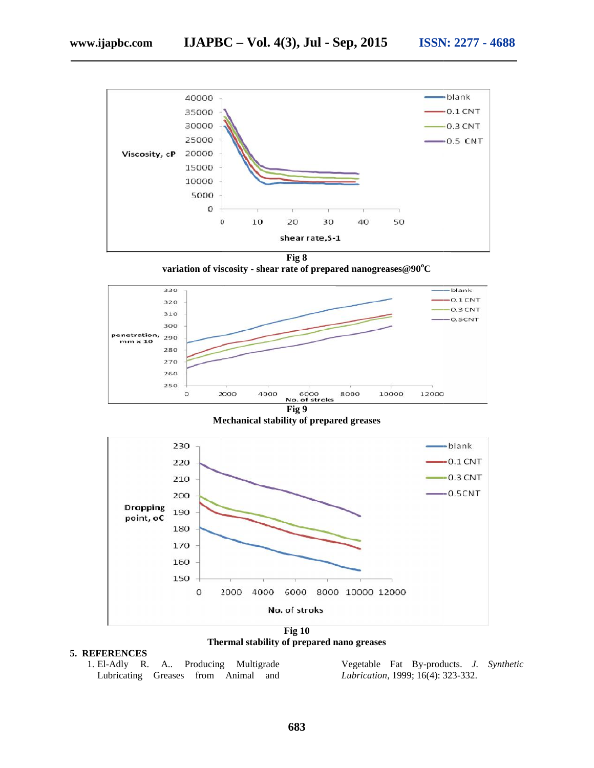

**Fig 8**

**variation of viscosity - shear rate of prepared nanogreases@90<sup>o</sup>C**



**Mechanical stability of prepared greases**



**Thermal stability of prepared nano greases**

#### **5. REFERENCES**

1. El-Adly R. A.. Producing Multigrade Lubricating Greases from Animal and

Producing Multigrade Vegetable Fat By-products. *J. Synthetic*<br>
from Animal and *Lubrication*, 1999; 16(4): 323-332. *Lubrication*, 1999; 16(4): 323-332.